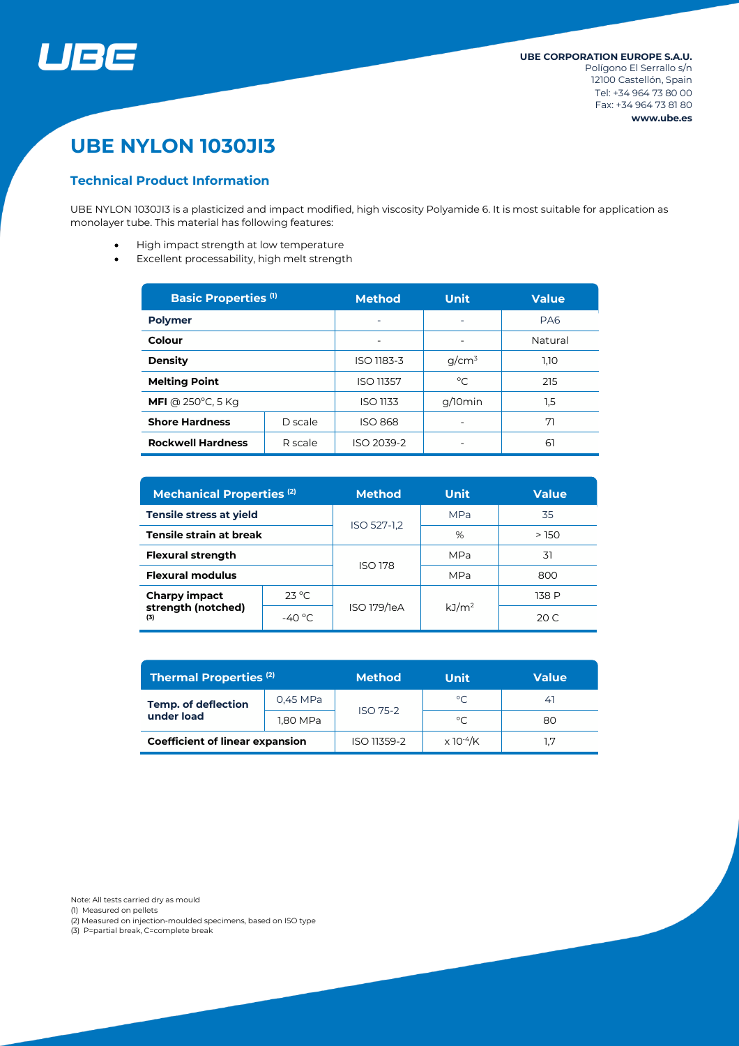

# **UBE NYLON 1030JI3**

# **Technical Product Information**

UBE NYLON 1030JI3 is a plasticized and impact modified, high viscosity Polyamide 6. It is most suitable for application as monolayer tube. This material has following features:

- High impact strength at low temperature
- Excellent processability, high melt strength

| <b>Basic Properties (1)</b>         |         | <b>Method</b>    | <b>Unit</b> | <b>Value</b>    |  |
|-------------------------------------|---------|------------------|-------------|-----------------|--|
| <b>Polymer</b>                      |         |                  | ۰           | PA <sub>6</sub> |  |
| Colour                              |         | ۰                |             | Natural         |  |
| <b>Density</b>                      |         | ISO 1183-3       | $q/cm^3$    | 1,10            |  |
| <b>Melting Point</b>                |         | <b>ISO 11357</b> | $^{\circ}C$ | 215             |  |
| <b>MFI</b> @ 250 $^{\circ}$ C, 5 Kg |         | <b>ISO 1133</b>  | g/10min     | 1,5             |  |
| <b>Shore Hardness</b>               | D scale | <b>ISO 868</b>   |             | 71              |  |
| <b>Rockwell Hardness</b>            | R scale | ISO 2039-2       |             | 61              |  |

| <b>Mechanical Properties (2)</b>           |                  | <b>Method</b>  | <b>Unit</b>       | <b>Value</b> |  |
|--------------------------------------------|------------------|----------------|-------------------|--------------|--|
| Tensile stress at yield                    |                  | ISO 527-1,2    | <b>MPa</b>        | 35           |  |
| Tensile strain at break                    |                  |                | %                 | >150         |  |
| <b>Flexural strength</b>                   |                  | <b>ISO 178</b> | <b>MPa</b>        | 31           |  |
| <b>Flexural modulus</b>                    |                  |                | <b>MPa</b>        | 800          |  |
| Charpy impact<br>strength (notched)<br>(3) | $23^{\circ}$ C.  | ISO 179/1eA    | kJ/m <sup>2</sup> | 138 P        |  |
|                                            | -40 $^{\circ}$ C |                |                   | 20 C         |  |

| <b>Thermal Properties (2)</b>            |          | <b>Method</b>   | Unit                         | Value |  |
|------------------------------------------|----------|-----------------|------------------------------|-------|--|
| <b>Temp. of deflection</b><br>under load | 0,45 MPa | <b>ISO 75-2</b> | $^{\circ}C$                  | 41    |  |
|                                          | 1,80 MPa |                 | $^{\circ}$ C                 | 80    |  |
| <b>Coefficient of linear expansion</b>   |          | ISO 11359-2     | $\times$ 10 <sup>-4</sup> /K |       |  |

Note: All tests carried dry as mould

(1) Measured on pellets

(2) Measured on injection-moulded specimens, based on ISO type

(3) P=partial break, C=complete break